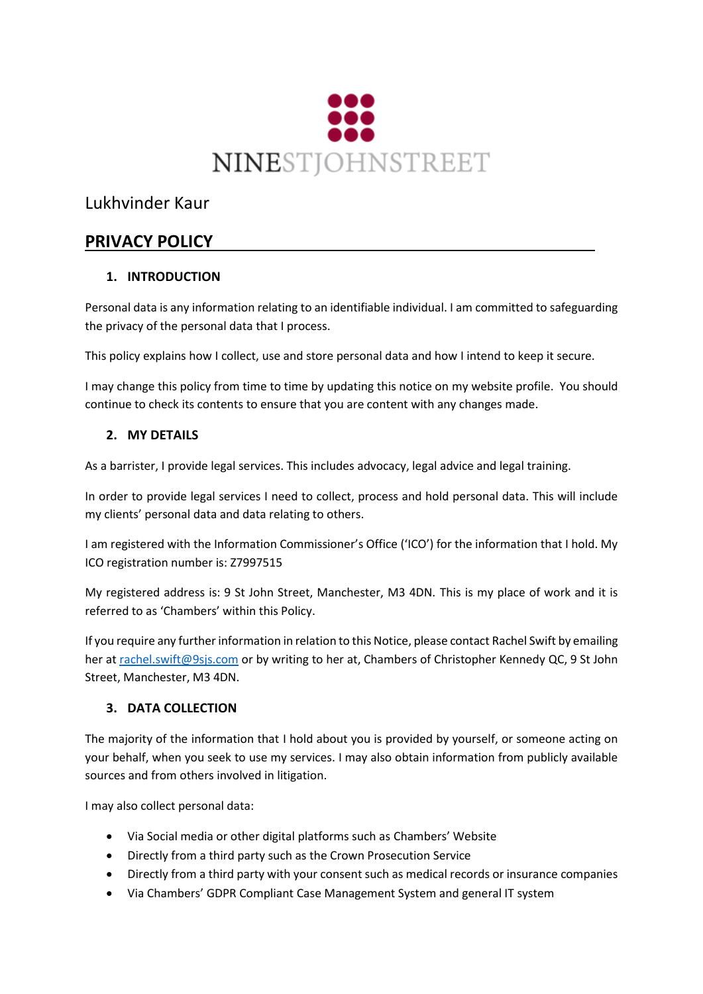

# Lukhvinder Kaur

# **PRIVACY POLICY**

# **1. INTRODUCTION**

Personal data is any information relating to an identifiable individual. I am committed to safeguarding the privacy of the personal data that I process.

This policy explains how I collect, use and store personal data and how I intend to keep it secure.

I may change this policy from time to time by updating this notice on my website profile. You should continue to check its contents to ensure that you are content with any changes made.

# **2. MY DETAILS**

As a barrister, I provide legal services. This includes advocacy, legal advice and legal training.

In order to provide legal services I need to collect, process and hold personal data. This will include my clients' personal data and data relating to others.

I am registered with the Information Commissioner's Office ('ICO') for the information that I hold. My ICO registration number is: Z7997515

My registered address is: 9 St John Street, Manchester, M3 4DN. This is my place of work and it is referred to as 'Chambers' within this Policy.

If you require any further information in relation to this Notice, please contact Rachel Swift by emailing her at [rachel.swift@9sjs.com](mailto:rachel.swift@9sjs.com) or by writing to her at, Chambers of Christopher Kennedy QC, 9 St John Street, Manchester, M3 4DN.

# **3. DATA COLLECTION**

The majority of the information that I hold about you is provided by yourself, or someone acting on your behalf, when you seek to use my services. I may also obtain information from publicly available sources and from others involved in litigation.

I may also collect personal data:

- Via Social media or other digital platforms such as Chambers' Website
- Directly from a third party such as the Crown Prosecution Service
- Directly from a third party with your consent such as medical records or insurance companies
- Via Chambers' GDPR Compliant Case Management System and general IT system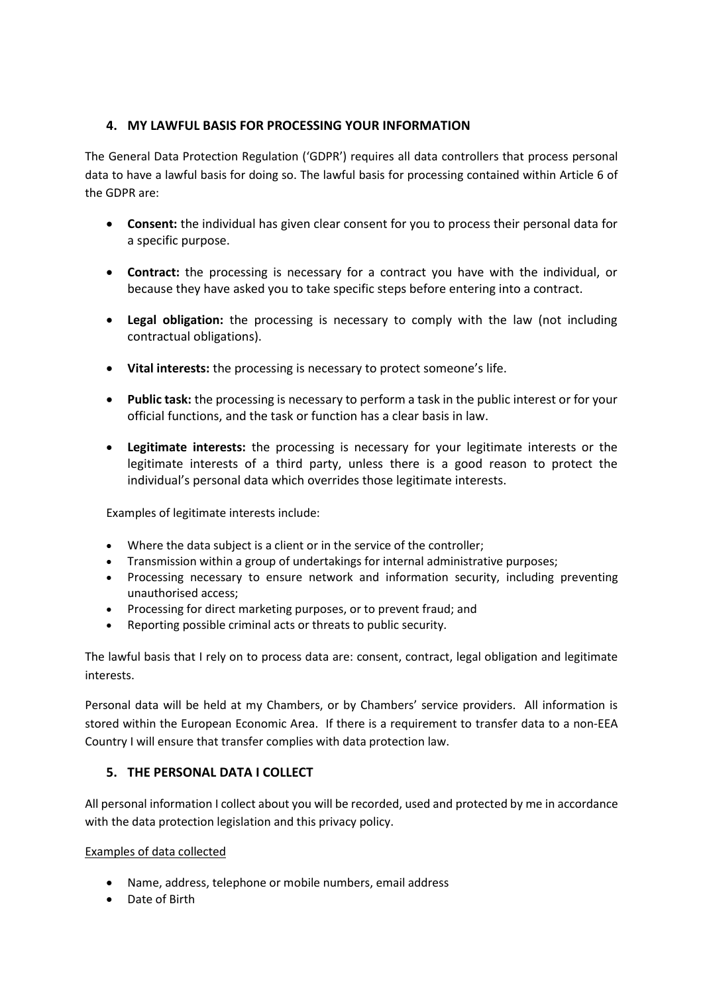# **4. MY LAWFUL BASIS FOR PROCESSING YOUR INFORMATION**

The General Data Protection Regulation ('GDPR') requires all data controllers that process personal data to have a lawful basis for doing so. The lawful basis for processing contained within Article 6 of the GDPR are:

- **Consent:** the individual has given clear consent for you to process their personal data for a specific purpose.
- **Contract:** the processing is necessary for a contract you have with the individual, or because they have asked you to take specific steps before entering into a contract.
- **Legal obligation:** the processing is necessary to comply with the law (not including contractual obligations).
- **Vital interests:** the processing is necessary to protect someone's life.
- **Public task:** the processing is necessary to perform a task in the public interest or for your official functions, and the task or function has a clear basis in law.
- **Legitimate interests:** the processing is necessary for your legitimate interests or the legitimate interests of a third party, unless there is a good reason to protect the individual's personal data which overrides those legitimate interests.

Examples of legitimate interests include:

- Where the data subject is a client or in the service of the controller;
- Transmission within a group of undertakings for internal administrative purposes;
- Processing necessary to ensure network and information security, including preventing unauthorised access;
- Processing for direct marketing purposes, or to prevent fraud; and
- Reporting possible criminal acts or threats to public security.

The lawful basis that I rely on to process data are: consent, contract, legal obligation and legitimate interests.

Personal data will be held at my Chambers, or by Chambers' service providers. All information is stored within the European Economic Area. If there is a requirement to transfer data to a non-EEA Country I will ensure that transfer complies with data protection law.

### **5. THE PERSONAL DATA I COLLECT**

All personal information I collect about you will be recorded, used and protected by me in accordance with the data protection legislation and this privacy policy.

#### Examples of data collected

- Name, address, telephone or mobile numbers, email address
- Date of Birth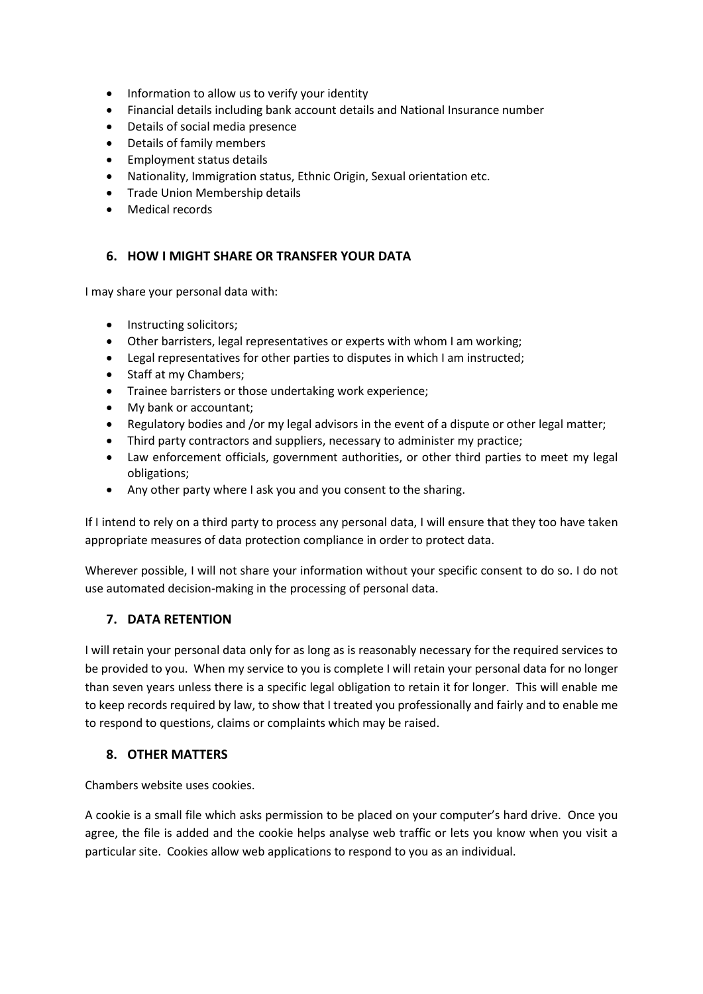- Information to allow us to verify your identity
- Financial details including bank account details and National Insurance number
- Details of social media presence
- Details of family members
- Employment status details
- Nationality, Immigration status, Ethnic Origin, Sexual orientation etc.
- Trade Union Membership details
- Medical records

### **6. HOW I MIGHT SHARE OR TRANSFER YOUR DATA**

I may share your personal data with:

- Instructing solicitors;
- Other barristers, legal representatives or experts with whom I am working;
- Legal representatives for other parties to disputes in which I am instructed;
- Staff at my Chambers;
- Trainee barristers or those undertaking work experience;
- My bank or accountant;
- Regulatory bodies and /or my legal advisors in the event of a dispute or other legal matter;
- Third party contractors and suppliers, necessary to administer my practice;
- Law enforcement officials, government authorities, or other third parties to meet my legal obligations;
- Any other party where I ask you and you consent to the sharing.

If I intend to rely on a third party to process any personal data, I will ensure that they too have taken appropriate measures of data protection compliance in order to protect data.

Wherever possible, I will not share your information without your specific consent to do so. I do not use automated decision-making in the processing of personal data.

### **7. DATA RETENTION**

I will retain your personal data only for as long as is reasonably necessary for the required services to be provided to you. When my service to you is complete I will retain your personal data for no longer than seven years unless there is a specific legal obligation to retain it for longer. This will enable me to keep records required by law, to show that I treated you professionally and fairly and to enable me to respond to questions, claims or complaints which may be raised.

### **8. OTHER MATTERS**

Chambers website uses cookies.

A cookie is a small file which asks permission to be placed on your computer's hard drive. Once you agree, the file is added and the cookie helps analyse web traffic or lets you know when you visit a particular site. Cookies allow web applications to respond to you as an individual.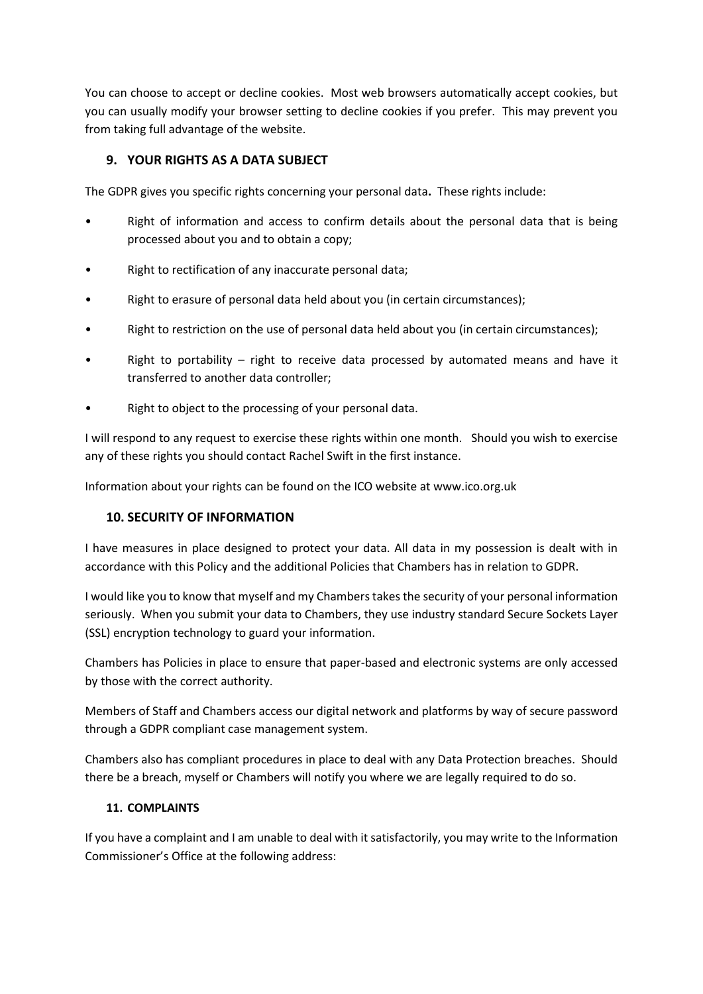You can choose to accept or decline cookies. Most web browsers automatically accept cookies, but you can usually modify your browser setting to decline cookies if you prefer. This may prevent you from taking full advantage of the website.

# **9. YOUR RIGHTS AS A DATA SUBJECT**

The GDPR gives you specific rights concerning your personal data**.** These rights include:

- Right of information and access to confirm details about the personal data that is being processed about you and to obtain a copy;
- Right to rectification of any inaccurate personal data;
- Right to erasure of personal data held about you (in certain circumstances);
- Right to restriction on the use of personal data held about you (in certain circumstances);
- Right to portability  $-$  right to receive data processed by automated means and have it transferred to another data controller;
- Right to object to the processing of your personal data.

I will respond to any request to exercise these rights within one month. Should you wish to exercise any of these rights you should contact Rachel Swift in the first instance.

Information about your rights can be found on the ICO website at www.ico.org.uk

# **10. SECURITY OF INFORMATION**

I have measures in place designed to protect your data. All data in my possession is dealt with in accordance with this Policy and the additional Policies that Chambers has in relation to GDPR.

I would like you to know that myself and my Chambers takes the security of your personal information seriously. When you submit your data to Chambers, they use industry standard Secure Sockets Layer (SSL) encryption technology to guard your information.

Chambers has Policies in place to ensure that paper-based and electronic systems are only accessed by those with the correct authority.

Members of Staff and Chambers access our digital network and platforms by way of secure password through a GDPR compliant case management system.

Chambers also has compliant procedures in place to deal with any Data Protection breaches. Should there be a breach, myself or Chambers will notify you where we are legally required to do so.

### **11. COMPLAINTS**

If you have a complaint and I am unable to deal with it satisfactorily, you may write to the Information Commissioner's Office at the following address: